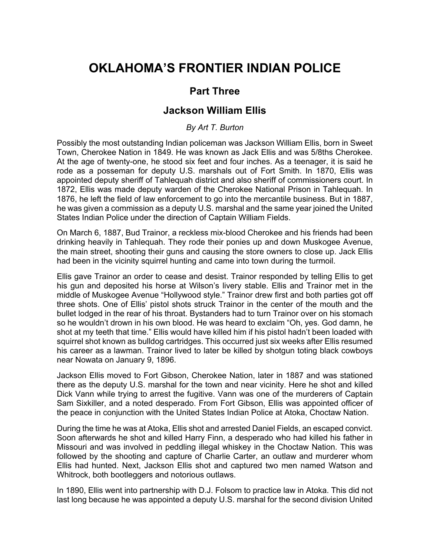## **OKLAHOMA'S FRONTIER INDIAN POLICE**

## **Part Three**

## **Jackson William Ellis**

## *By Art T. Burton*

Possibly the most outstanding Indian policeman was Jackson William Ellis, born in Sweet Town, Cherokee Nation in 1849. He was known as Jack Ellis and was 5/8ths Cherokee. At the age of twenty-one, he stood six feet and four inches. As a teenager, it is said he rode as a posseman for deputy U.S. marshals out of Fort Smith. In 1870, Ellis was appointed deputy sheriff of Tahlequah district and also sheriff of commissioners court. In 1872, Ellis was made deputy warden of the Cherokee National Prison in Tahlequah. In 1876, he left the field of law enforcement to go into the mercantile business. But in 1887, he was given a commission as a deputy U.S. marshal and the same year joined the United States Indian Police under the direction of Captain William Fields.

On March 6, 1887, Bud Trainor, a reckless mix-blood Cherokee and his friends had been drinking heavily in Tahlequah. They rode their ponies up and down Muskogee Avenue, the main street, shooting their guns and causing the store owners to close up. Jack Ellis had been in the vicinity squirrel hunting and came into town during the turmoil.

Ellis gave Trainor an order to cease and desist. Trainor responded by telling Ellis to get his gun and deposited his horse at Wilson's livery stable. Ellis and Trainor met in the middle of Muskogee Avenue "Hollywood style." Trainor drew first and both parties got off three shots. One of Ellis' pistol shots struck Trainor in the center of the mouth and the bullet lodged in the rear of his throat. Bystanders had to turn Trainor over on his stomach so he wouldn't drown in his own blood. He was heard to exclaim "Oh, yes. God damn, he shot at my teeth that time." Ellis would have killed him if his pistol hadn't been loaded with squirrel shot known as bulldog cartridges. This occurred just six weeks after Ellis resumed his career as a lawman. Trainor lived to later be killed by shotgun toting black cowboys near Nowata on January 9, 1896.

Jackson Ellis moved to Fort Gibson, Cherokee Nation, later in 1887 and was stationed there as the deputy U.S. marshal for the town and near vicinity. Here he shot and killed Dick Vann while trying to arrest the fugitive. Vann was one of the murderers of Captain Sam Sixkiller, and a noted desperado. From Fort Gibson, Ellis was appointed officer of the peace in conjunction with the United States Indian Police at Atoka, Choctaw Nation.

During the time he was at Atoka, Ellis shot and arrested Daniel Fields, an escaped convict. Soon afterwards he shot and killed Harry Finn, a desperado who had killed his father in Missouri and was involved in peddling illegal whiskey in the Choctaw Nation. This was followed by the shooting and capture of Charlie Carter, an outlaw and murderer whom Ellis had hunted. Next, Jackson Ellis shot and captured two men named Watson and Whitrock, both bootleggers and notorious outlaws.

In 1890, Ellis went into partnership with D.J. Folsom to practice law in Atoka. This did not last long because he was appointed a deputy U.S. marshal for the second division United